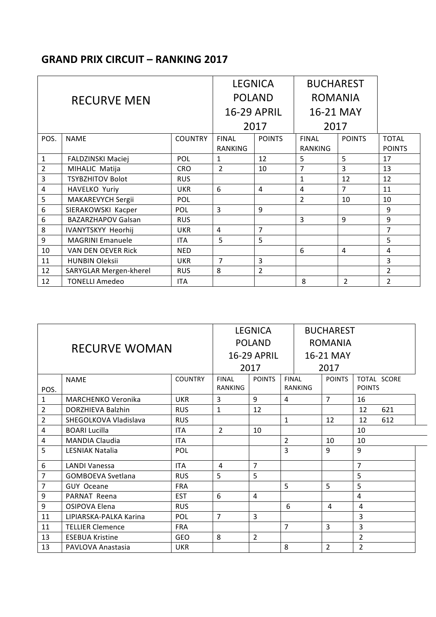## **GRAND PRIX CIRCUIT – RANKING 2017**

|                | <b>RECURVE MEN</b>        |                | <b>LEGNICA</b><br><b>POLAND</b><br><b>16-29 APRIL</b> |                | <b>BUCHAREST</b><br><b>ROMANIA</b><br>16-21 MAY |                |                               |
|----------------|---------------------------|----------------|-------------------------------------------------------|----------------|-------------------------------------------------|----------------|-------------------------------|
|                |                           |                | 2017                                                  |                | 2017                                            |                |                               |
| POS.           | <b>NAME</b>               | <b>COUNTRY</b> | <b>FINAL</b><br>RANKING                               | <b>POINTS</b>  | <b>FINAL</b><br><b>RANKING</b>                  | <b>POINTS</b>  | <b>TOTAL</b><br><b>POINTS</b> |
| 1              | <b>FALDZINSKI Maciej</b>  | POL            | 1                                                     | 12             | 5                                               | 5              | 17                            |
| $\overline{2}$ | MIHALIC Matija            | <b>CRO</b>     | $\overline{2}$                                        | 10             | 7                                               | 3              | 13                            |
| 3              | <b>TSYBZHITOV Bolot</b>   | <b>RUS</b>     |                                                       |                | 1                                               | 12             | 12                            |
| 4              | HAVELKO Yuriy             | <b>UKR</b>     | 6                                                     | 4              | 4                                               | 7              | 11                            |
| 5              | <b>MAKAREVYCH Sergii</b>  | POL            |                                                       |                | $\overline{2}$                                  | 10             | 10                            |
| 6              | SIERAKOWSKI Kacper        | POL            | 3                                                     | 9              |                                                 |                | 9                             |
| 6              | <b>BAZARZHAPOV Galsan</b> | <b>RUS</b>     |                                                       |                | 3                                               | 9              | 9                             |
| 8              | <b>IVANYTSKYY Heorhij</b> | <b>UKR</b>     | 4                                                     | $\overline{7}$ |                                                 |                | 7                             |
| 9              | <b>MAGRINI Emanuele</b>   | <b>ITA</b>     | 5                                                     | 5              |                                                 |                | 5                             |
| 10             | VAN DEN OEVER Rick        | <b>NED</b>     |                                                       |                | 6                                               | $\overline{4}$ | $\overline{4}$                |
| 11             | <b>HUNBIN Oleksii</b>     | <b>UKR</b>     | 7                                                     | 3              |                                                 |                | 3                             |
| 12             | SARYGLAR Mergen-kherel    | <b>RUS</b>     | 8                                                     | $\overline{2}$ |                                                 |                | $\overline{2}$                |
| 12             | <b>TONELLI Amedeo</b>     | <b>ITA</b>     |                                                       |                | 8                                               | $\overline{2}$ | $\overline{2}$                |

|                |                           |                    | <b>LEGNICA</b> |                |                | <b>BUCHAREST</b> |                |                |             |
|----------------|---------------------------|--------------------|----------------|----------------|----------------|------------------|----------------|----------------|-------------|
|                | <b>RECURVE WOMAN</b>      | <b>POLAND</b>      |                |                | <b>ROMANIA</b> |                  |                |                |             |
|                |                           | <b>16-29 APRIL</b> |                |                | 16-21 MAY      |                  |                |                |             |
|                |                           |                    | 2017           |                |                | 2017             |                |                |             |
|                | <b>NAME</b>               | <b>COUNTRY</b>     | <b>FINAL</b>   | <b>POINTS</b>  | <b>FINAL</b>   |                  | <b>POINTS</b>  |                | TOTAL SCORE |
| POS.           |                           |                    | <b>RANKING</b> |                | <b>RANKING</b> |                  |                | <b>POINTS</b>  |             |
| 1              | <b>MARCHENKO Veronika</b> | <b>UKR</b>         | 3              | 9              | 4              |                  | $\overline{7}$ | 16             |             |
| $\overline{2}$ | DORZHIEVA Balzhin         | <b>RUS</b>         | $\mathbf{1}$   | 12             |                |                  |                | 12             | 621         |
| 2              | SHEGOLKOVA Vladislava     | <b>RUS</b>         |                |                | $\mathbf{1}$   |                  | 12             | 12             | 612         |
| 4              | <b>BOARI Lucilla</b>      | <b>ITA</b>         | $\overline{2}$ | 10             |                |                  |                | 10             |             |
| 4              | <b>MANDIA Claudia</b>     | <b>ITA</b>         |                |                | $\overline{2}$ |                  | 10             | 10             |             |
| 5              | LESNIAK Natalia           | <b>POL</b>         |                |                | 3              |                  | 9              | 9              |             |
| 6              | <b>LANDI Vanessa</b>      | ITA                | 4              | $\overline{7}$ |                |                  |                | 7              |             |
| $\overline{7}$ | <b>GOMBOEVA Svetlana</b>  | <b>RUS</b>         | 5              | 5              |                |                  |                | 5              |             |
| 7              | GUY Oceane                | <b>FRA</b>         |                |                | 5              |                  | 5              | 5              |             |
| 9              | PARNAT Reena              | <b>EST</b>         | 6              | $\overline{4}$ |                |                  |                | 4              |             |
| 9              | <b>OSIPOVA Elena</b>      | <b>RUS</b>         |                |                | 6              |                  | 4              | 4              |             |
| 11             | LIPIARSKA-PALKA Karina    | <b>POL</b>         | $\overline{7}$ | 3              |                |                  |                | 3              |             |
| 11             | <b>TELLIER Clemence</b>   | <b>FRA</b>         |                |                | $\overline{7}$ |                  | 3              | 3              |             |
| 13             | <b>ESEBUA Kristine</b>    | <b>GEO</b>         | 8              | $\overline{2}$ |                |                  |                | $\overline{2}$ |             |
| 13             | PAVLOVA Anastasia         | <b>UKR</b>         |                |                | 8              |                  | $\overline{2}$ | $\overline{2}$ |             |